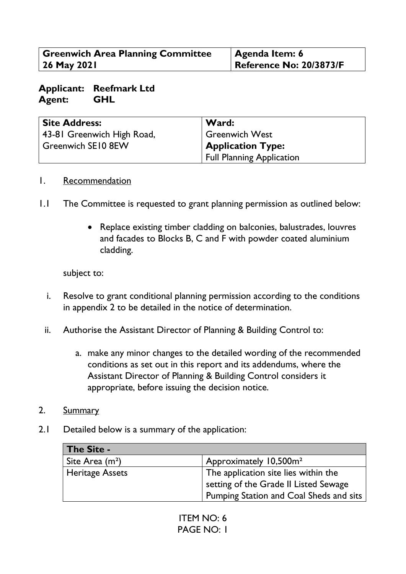| <b>Greenwich Area Planning Committee</b> | <b>Agenda Item: 6</b>          |
|------------------------------------------|--------------------------------|
| 26 May 2021                              | <b>Reference No: 20/3873/F</b> |

#### **Applicant: Reefmark Ltd Agent: GHL**

| <b>Site Address:</b>       | Ward:                            |
|----------------------------|----------------------------------|
| 43-81 Greenwich High Road, | <b>Greenwich West</b>            |
| Greenwich SE10 8EW         | <b>Application Type:</b>         |
|                            | <b>Full Planning Application</b> |

#### 1. Recommendation

- 1.1 The Committee is requested to grant planning permission as outlined below:
	- Replace existing timber cladding on balconies, balustrades, louvres and facades to Blocks B, C and F with powder coated aluminium cladding.

subject to:

- i. Resolve to grant conditional planning permission according to the conditions in appendix 2 to be detailed in the notice of determination.
- ii. Authorise the Assistant Director of Planning & Building Control to:
	- a. make any minor changes to the detailed wording of the recommended conditions as set out in this report and its addendums, where the Assistant Director of Planning & Building Control considers it appropriate, before issuing the decision notice.
- 2. Summary
- 2.1 Detailed below is a summary of the application:

| <b>The Site -</b>      |                                                                                                                          |
|------------------------|--------------------------------------------------------------------------------------------------------------------------|
| Site Area $(m2)$       | Approximately 10,500m <sup>2</sup>                                                                                       |
| <b>Heritage Assets</b> | The application site lies within the<br>setting of the Grade II Listed Sewage<br>Pumping Station and Coal Sheds and sits |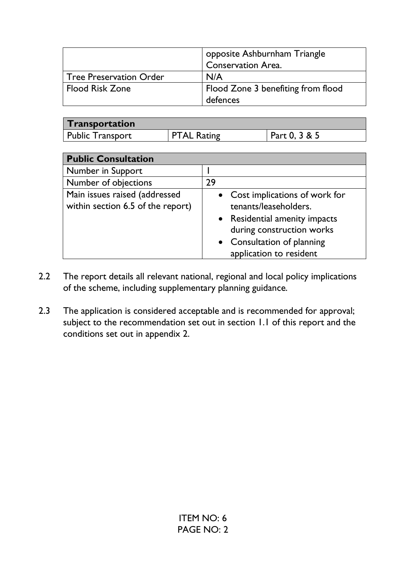|                                | opposite Ashburnham Triangle<br><b>Conservation Area.</b> |
|--------------------------------|-----------------------------------------------------------|
| <b>Tree Preservation Order</b> | N/A                                                       |
| <b>Flood Risk Zone</b>         | Flood Zone 3 benefiting from flood                        |
|                                | defences                                                  |

| <b>Transportation</b> |                    |               |
|-----------------------|--------------------|---------------|
| Public Transport      | <b>PTAL Rating</b> | Part 0, 3 & 5 |

| <b>Public Consultation</b>                                         |                                                                                                                                                                                 |  |
|--------------------------------------------------------------------|---------------------------------------------------------------------------------------------------------------------------------------------------------------------------------|--|
| Number in Support                                                  |                                                                                                                                                                                 |  |
| Number of objections                                               | 29                                                                                                                                                                              |  |
| Main issues raised (addressed<br>within section 6.5 of the report) | • Cost implications of work for<br>tenants/leaseholders.<br>• Residential amenity impacts<br>during construction works<br>• Consultation of planning<br>application to resident |  |

- 2.2 The report details all relevant national, regional and local policy implications of the scheme, including supplementary planning guidance.
- 2.3 The application is considered acceptable and is recommended for approval; subject to the recommendation set out in section 1.1 of this report and the conditions set out in appendix 2.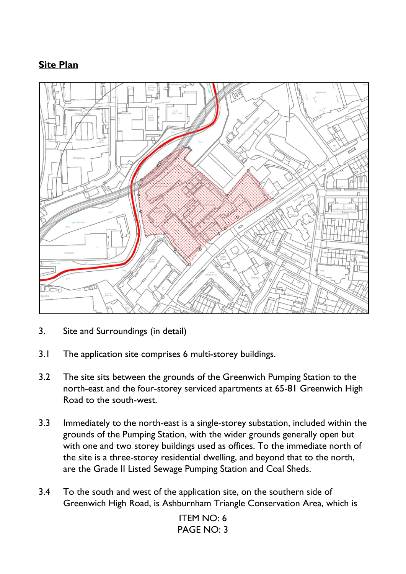# **Site Plan**



- 3. Site and Surroundings (in detail)
- 3.1 The application site comprises 6 multi-storey buildings.
- 3.2 The site sits between the grounds of the Greenwich Pumping Station to the north-east and the four-storey serviced apartments at 65-81 Greenwich High Road to the south-west.
- 3.3 Immediately to the north-east is a single-storey substation, included within the grounds of the Pumping Station, with the wider grounds generally open but with one and two storey buildings used as offices. To the immediate north of the site is a three-storey residential dwelling, and beyond that to the north, are the Grade II Listed Sewage Pumping Station and Coal Sheds.
- 3.4 To the south and west of the application site, on the southern side of Greenwich High Road, is Ashburnham Triangle Conservation Area, which is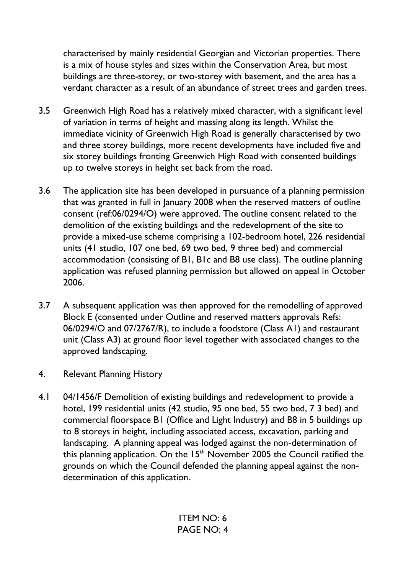characterised by mainly residential Georgian and Victorian properties. There is a mix of house styles and sizes within the Conservation Area, but most buildings are three-storey, or two-storey with basement, and the area has a verdant character as a result of an abundance of street trees and garden trees.

- 3.5 Greenwich High Road has a relatively mixed character, with a significant level of variation in terms of height and massing along its length. Whilst the immediate vicinity of Greenwich High Road is generally characterised by two and three storey buildings, more recent developments have included five and six storey buildings fronting Greenwich High Road with consented buildings up to twelve storeys in height set back from the road.
- 3.6 The application site has been developed in pursuance of a planning permission that was granted in full in January 2008 when the reserved matters of outline consent (ref:06/0294/O) were approved. The outline consent related to the demolition of the existing buildings and the redevelopment of the site to provide a mixed-use scheme comprising a 102-bedroom hotel, 226 residential units (41 studio, 107 one bed, 69 two bed, 9 three bed) and commercial accommodation (consisting of B1, B1c and B8 use class). The outline planning application was refused planning permission but allowed on appeal in October 2006.
- 3.7 A subsequent application was then approved for the remodelling of approved Block E (consented under Outline and reserved matters approvals Refs: 06/0294/O and 07/2767/R), to include a foodstore (Class A1) and restaurant unit (Class A3) at ground floor level together with associated changes to the approved landscaping.

### 4. Relevant Planning History

4.1 04/1456/F Demolition of existing buildings and redevelopment to provide a hotel, 199 residential units (42 studio, 95 one bed, 55 two bed, 7 3 bed) and commercial floorspace B1 (Office and Light Industry) and B8 in 5 buildings up to 8 storeys in height, including associated access, excavation, parking and landscaping. A planning appeal was lodged against the non-determination of this planning application. On the  $15<sup>th</sup>$  November 2005 the Council ratified the grounds on which the Council defended the planning appeal against the nondetermination of this application.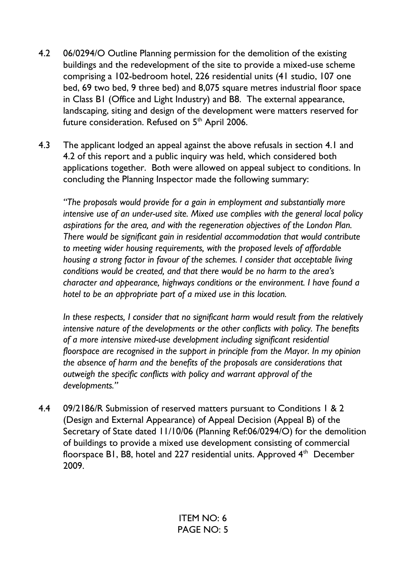- 4.2 06/0294/O Outline Planning permission for the demolition of the existing buildings and the redevelopment of the site to provide a mixed-use scheme comprising a 102-bedroom hotel, 226 residential units (41 studio, 107 one bed, 69 two bed, 9 three bed) and 8,075 square metres industrial floor space in Class B1 (Office and Light Industry) and B8. The external appearance, landscaping, siting and design of the development were matters reserved for future consideration. Refused on  $5<sup>th</sup>$  April 2006.
- 4.3 The applicant lodged an appeal against the above refusals in section 4.1 and 4.2 of this report and a public inquiry was held, which considered both applications together. Both were allowed on appeal subject to conditions. In concluding the Planning Inspector made the following summary:

*"The proposals would provide for a gain in employment and substantially more intensive use of an under-used site. Mixed use complies with the general local policy aspirations for the area, and with the regeneration objectives of the London Plan. There would be significant gain in residential accommodation that would contribute to meeting wider housing requirements, with the proposed levels of affordable housing a strong factor in favour of the schemes. I consider that acceptable living conditions would be created, and that there would be no harm to the area's character and appearance, highways conditions or the environment. I have found a hotel to be an appropriate part of a mixed use in this location.* 

 *In these respects, I consider that no significant harm would result from the relatively intensive nature of the developments or the other conflicts with policy. The benefits of a more intensive mixed-use development including significant residential floorspace are recognised in the support in principle from the Mayor. In my opinion the absence of harm and the benefits of the proposals are considerations that outweigh the specific conflicts with policy and warrant approval of the developments."*

4.4 09/2186/R Submission of reserved matters pursuant to Conditions 1 & 2 (Design and External Appearance) of Appeal Decision (Appeal B) of the Secretary of State dated 11/10/06 (Planning Ref:06/0294/O) for the demolition of buildings to provide a mixed use development consisting of commercial floorspace B1, B8, hotel and 227 residential units. Approved  $4<sup>th</sup>$  December 2009.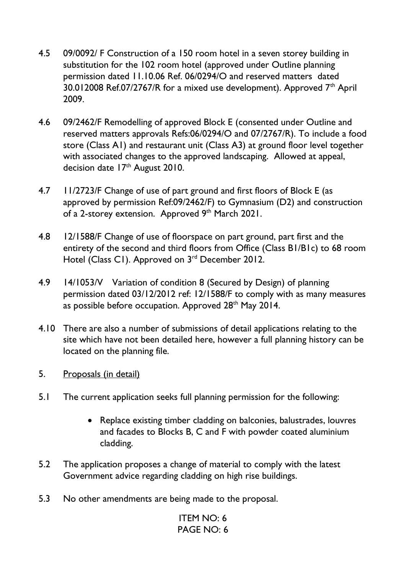- 4.5 09/0092/ F Construction of a 150 room hotel in a seven storey building in substitution for the 102 room hotel (approved under Outline planning permission dated 11.10.06 Ref. 06/0294/O and reserved matters dated 30.012008 Ref.07/2767/R for a mixed use development). Approved 7<sup>th</sup> April 2009.
- 4.6 09/2462/F Remodelling of approved Block E (consented under Outline and reserved matters approvals Refs:06/0294/O and 07/2767/R). To include a food store (Class A1) and restaurant unit (Class A3) at ground floor level together with associated changes to the approved landscaping. Allowed at appeal, decision date  $17<sup>th</sup>$  August 2010.
- 4.7 11/2723/F Change of use of part ground and first floors of Block E (as approved by permission Ref:09/2462/F) to Gymnasium (D2) and construction of a 2-storey extension. Approved 9th March 2021.
- 4.8 12/1588/F Change of use of floorspace on part ground, part first and the entirety of the second and third floors from Office (Class B1/B1c) to 68 room Hotel (Class C1). Approved on 3<sup>rd</sup> December 2012.
- 4.9 14/1053/V Variation of condition 8 (Secured by Design) of planning permission dated 03/12/2012 ref: 12/1588/F to comply with as many measures as possible before occupation. Approved 28<sup>th</sup> May 2014.
- 4.10 There are also a number of submissions of detail applications relating to the site which have not been detailed here, however a full planning history can be located on the planning file.
- 5. Proposals (in detail)
- 5.1 The current application seeks full planning permission for the following:
	- Replace existing timber cladding on balconies, balustrades, louvres and facades to Blocks B, C and F with powder coated aluminium cladding.
- 5.2 The application proposes a change of material to comply with the latest Government advice regarding cladding on high rise buildings.
- 5.3 No other amendments are being made to the proposal.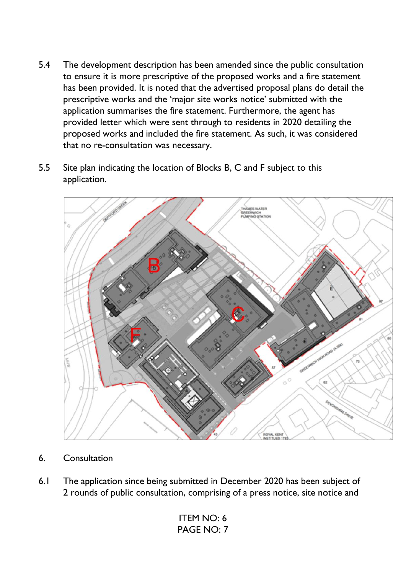- 5.4 The development description has been amended since the public consultation to ensure it is more prescriptive of the proposed works and a fire statement has been provided. It is noted that the advertised proposal plans do detail the prescriptive works and the 'major site works notice' submitted with the application summarises the fire statement. Furthermore, the agent has provided letter which were sent through to residents in 2020 detailing the proposed works and included the fire statement. As such, it was considered that no re-consultation was necessary.
- 5.5 Site plan indicating the location of Blocks B, C and F subject to this application.



- 6. Consultation
- 6.1 The application since being submitted in December 2020 has been subject of 2 rounds of public consultation, comprising of a press notice, site notice and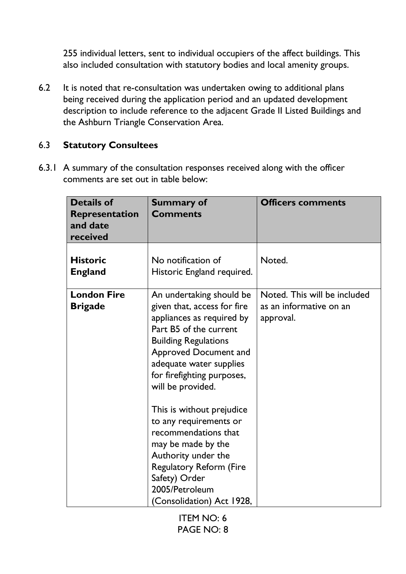255 individual letters, sent to individual occupiers of the affect buildings. This also included consultation with statutory bodies and local amenity groups.

6.2 It is noted that re-consultation was undertaken owing to additional plans being received during the application period and an updated development description to include reference to the adjacent Grade II Listed Buildings and the Ashburn Triangle Conservation Area.

### 6.3 **Statutory Consultees**

6.3.1 A summary of the consultation responses received along with the officer comments are set out in table below:

| <b>Details of</b><br><b>Representation</b><br>and date<br>received | <b>Summary of</b><br><b>Comments</b>                                                                                                                                                                                                                 | <b>Officers comments</b>                                             |
|--------------------------------------------------------------------|------------------------------------------------------------------------------------------------------------------------------------------------------------------------------------------------------------------------------------------------------|----------------------------------------------------------------------|
| <b>Historic</b><br><b>England</b>                                  | No notification of<br>Historic England required.                                                                                                                                                                                                     | Noted.                                                               |
| <b>London Fire</b><br><b>Brigade</b>                               | An undertaking should be<br>given that, access for fire<br>appliances as required by<br>Part B5 of the current<br><b>Building Regulations</b><br>Approved Document and<br>adequate water supplies<br>for firefighting purposes,<br>will be provided. | Noted. This will be included<br>as an informative on an<br>approval. |
|                                                                    | This is without prejudice<br>to any requirements or<br>recommendations that<br>may be made by the<br>Authority under the<br><b>Regulatory Reform (Fire</b><br>Safety) Order<br>2005/Petroleum<br>(Consolidation) Act 1928,                           |                                                                      |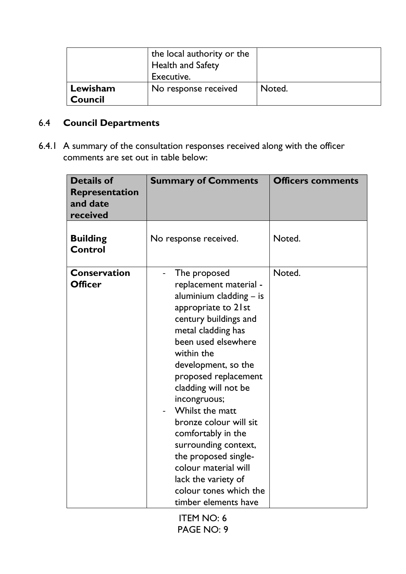|                            | the local authority or the<br><b>Health and Safety</b><br>Executive. |        |
|----------------------------|----------------------------------------------------------------------|--------|
| Lewisham<br><b>Council</b> | No response received                                                 | Noted. |

# 6.4 **Council Departments**

6.4.1 A summary of the consultation responses received along with the officer comments are set out in table below:

| <b>Details of</b><br>Representation<br>and date<br>received | <b>Summary of Comments</b>                                                                                                                                                                                                                                                                                                                                                                                                                                                                | <b>Officers comments</b> |
|-------------------------------------------------------------|-------------------------------------------------------------------------------------------------------------------------------------------------------------------------------------------------------------------------------------------------------------------------------------------------------------------------------------------------------------------------------------------------------------------------------------------------------------------------------------------|--------------------------|
| <b>Building</b><br><b>Control</b>                           | No response received.                                                                                                                                                                                                                                                                                                                                                                                                                                                                     | Noted.                   |
| <b>Conservation</b><br><b>Officer</b>                       | The proposed<br>replacement material -<br>aluminium cladding $-$ is<br>appropriate to 21st<br>century buildings and<br>metal cladding has<br>been used elsewhere<br>within the<br>development, so the<br>proposed replacement<br>cladding will not be<br>incongruous;<br>Whilst the matt<br>bronze colour will sit<br>comfortably in the<br>surrounding context,<br>the proposed single-<br>colour material will<br>lack the variety of<br>colour tones which the<br>timber elements have | Noted.                   |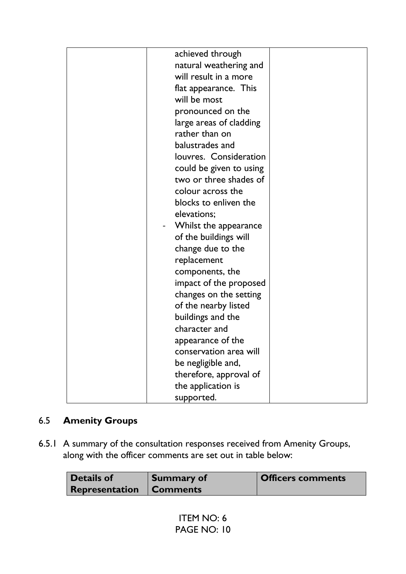| achieved through        |                                                                                                                                                   |
|-------------------------|---------------------------------------------------------------------------------------------------------------------------------------------------|
| natural weathering and  |                                                                                                                                                   |
| will result in a more   |                                                                                                                                                   |
| flat appearance. This   |                                                                                                                                                   |
| will be most            |                                                                                                                                                   |
| pronounced on the       |                                                                                                                                                   |
| large areas of cladding |                                                                                                                                                   |
| rather than on          |                                                                                                                                                   |
| balustrades and         |                                                                                                                                                   |
| louvres. Consideration  |                                                                                                                                                   |
| could be given to using |                                                                                                                                                   |
| two or three shades of  |                                                                                                                                                   |
| colour across the       |                                                                                                                                                   |
| blocks to enliven the   |                                                                                                                                                   |
| elevations;             |                                                                                                                                                   |
|                         |                                                                                                                                                   |
|                         |                                                                                                                                                   |
| change due to the       |                                                                                                                                                   |
| replacement             |                                                                                                                                                   |
| components, the         |                                                                                                                                                   |
|                         |                                                                                                                                                   |
|                         |                                                                                                                                                   |
| of the nearby listed    |                                                                                                                                                   |
| buildings and the       |                                                                                                                                                   |
| character and           |                                                                                                                                                   |
|                         |                                                                                                                                                   |
| conservation area will  |                                                                                                                                                   |
| be negligible and,      |                                                                                                                                                   |
|                         |                                                                                                                                                   |
| the application is      |                                                                                                                                                   |
| supported.              |                                                                                                                                                   |
|                         | Whilst the appearance<br>of the buildings will<br>impact of the proposed<br>changes on the setting<br>appearance of the<br>therefore, approval of |

# 6.5 **Amenity Groups**

6.5.1 A summary of the consultation responses received from Amenity Groups, along with the officer comments are set out in table below:

| Details of                     | Summary of | <b>Officers comments</b> |
|--------------------------------|------------|--------------------------|
| <b>Representation Comments</b> |            |                          |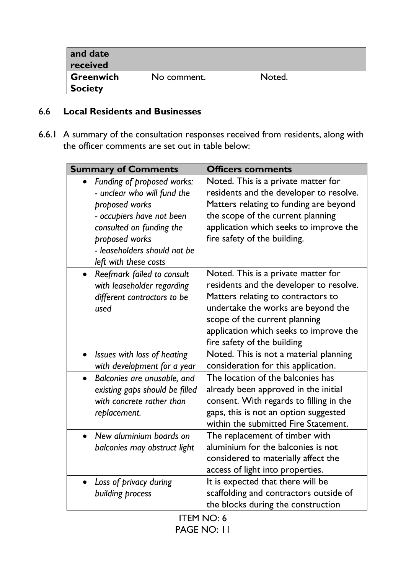| and date<br>received               |             |        |
|------------------------------------|-------------|--------|
| <b>Greenwich</b><br><b>Society</b> | No comment. | Noted. |

## 6.6 **Local Residents and Businesses**

6.6.1 A summary of the consultation responses received from residents, along with the officer comments are set out in table below:

| <b>Summary of Comments</b>                                                                                                                                                                                                   | <b>Officers comments</b>                                                                                                                                                                                                                                             |  |
|------------------------------------------------------------------------------------------------------------------------------------------------------------------------------------------------------------------------------|----------------------------------------------------------------------------------------------------------------------------------------------------------------------------------------------------------------------------------------------------------------------|--|
| Funding of proposed works:<br>$\bullet$<br>- unclear who will fund the<br>proposed works<br>- occupiers have not been<br>consulted on funding the<br>proposed works<br>- leaseholders should not be<br>left with these costs | Noted. This is a private matter for<br>residents and the developer to resolve.<br>Matters relating to funding are beyond<br>the scope of the current planning<br>application which seeks to improve the<br>fire safety of the building.                              |  |
| Reefmark failed to consult<br>$\bullet$<br>with leaseholder regarding<br>different contractors to be<br>used                                                                                                                 | Noted. This is a private matter for<br>residents and the developer to resolve.<br>Matters relating to contractors to<br>undertake the works are beyond the<br>scope of the current planning<br>application which seeks to improve the<br>fire safety of the building |  |
| Issues with loss of heating<br>$\bullet$<br>with development for a year                                                                                                                                                      | Noted. This is not a material planning<br>consideration for this application.                                                                                                                                                                                        |  |
| Balconies are unusable, and<br>$\bullet$<br>existing gaps should be filled<br>with concrete rather than<br>replacement.                                                                                                      | The location of the balconies has<br>already been approved in the initial<br>consent. With regards to filling in the<br>gaps, this is not an option suggested<br>within the submitted Fire Statement.                                                                |  |
| New aluminium boards on<br>$\bullet$<br>balconies may obstruct light                                                                                                                                                         | The replacement of timber with<br>aluminium for the balconies is not<br>considered to materially affect the<br>access of light into properties.                                                                                                                      |  |
| Loss of privacy during<br>building process                                                                                                                                                                                   | It is expected that there will be<br>scaffolding and contractors outside of<br>the blocks during the construction                                                                                                                                                    |  |
| <b>ITEM NO: 6</b>                                                                                                                                                                                                            |                                                                                                                                                                                                                                                                      |  |

PAGE NO: 11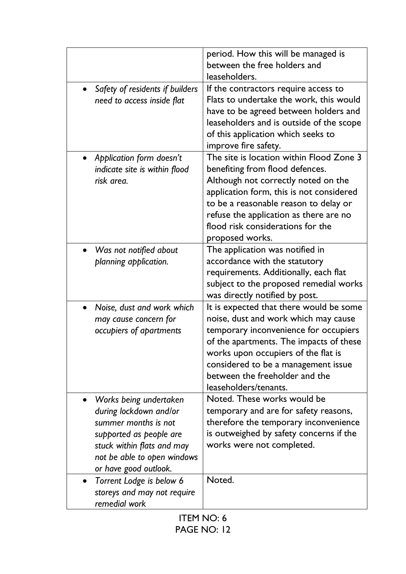|                                                  | period. How this will be managed is<br>between the free holders and<br>leaseholders. |  |
|--------------------------------------------------|--------------------------------------------------------------------------------------|--|
|                                                  |                                                                                      |  |
| Safety of residents if builders<br>$\bullet$     | If the contractors require access to                                                 |  |
| need to access inside flat                       | Flats to undertake the work, this would                                              |  |
|                                                  | have to be agreed between holders and                                                |  |
|                                                  | leaseholders and is outside of the scope                                             |  |
|                                                  | of this application which seeks to                                                   |  |
|                                                  | improve fire safety.                                                                 |  |
| Application form doesn't<br>$\bullet$            | The site is location within Flood Zone 3                                             |  |
| indicate site is within flood                    | benefiting from flood defences.                                                      |  |
| risk area.                                       | Although not correctly noted on the                                                  |  |
|                                                  | application form, this is not considered                                             |  |
|                                                  | to be a reasonable reason to delay or                                                |  |
|                                                  | refuse the application as there are no                                               |  |
|                                                  | flood risk considerations for the                                                    |  |
|                                                  | proposed works.                                                                      |  |
| Was not notified about                           | The application was notified in                                                      |  |
| planning application.                            | accordance with the statutory                                                        |  |
|                                                  | requirements. Additionally, each flat                                                |  |
|                                                  | subject to the proposed remedial works                                               |  |
|                                                  | was directly notified by post.                                                       |  |
| Noise, dust and work which                       | It is expected that there would be some                                              |  |
| may cause concern for                            | noise, dust and work which may cause                                                 |  |
| occupiers of apartments                          | temporary inconvenience for occupiers                                                |  |
|                                                  | of the apartments. The impacts of these                                              |  |
|                                                  | works upon occupiers of the flat is                                                  |  |
|                                                  | considered to be a management issue                                                  |  |
|                                                  | between the freeholder and the<br>leaseholders/tenants.                              |  |
| $\bullet$                                        | Noted. These works would be                                                          |  |
| Works being undertaken<br>during lockdown and/or | temporary and are for safety reasons,                                                |  |
| summer months is not                             | therefore the temporary inconvenience                                                |  |
| supported as people are                          | is outweighed by safety concerns if the                                              |  |
| stuck within flats and may                       | works were not completed.                                                            |  |
| not be able to open windows                      |                                                                                      |  |
| or have good outlook.                            |                                                                                      |  |
| Torrent Lodge is below 6<br>$\bullet$            | Noted.                                                                               |  |
| storeys and may not require                      |                                                                                      |  |
| remedial work                                    |                                                                                      |  |
| <b>ITEM NO: 6</b>                                |                                                                                      |  |

PAGE NO: 12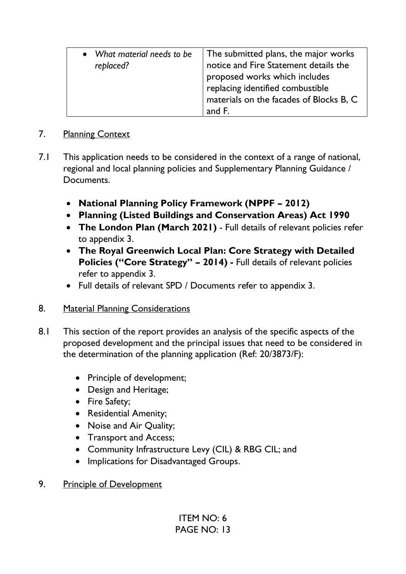| The submitted plans, the major works<br>• What material needs to be<br>notice and Fire Statement details the<br>replaced?<br>proposed works which includes<br>replacing identified combustible<br>materials on the facades of Blocks B, C<br>and F. |  |
|-----------------------------------------------------------------------------------------------------------------------------------------------------------------------------------------------------------------------------------------------------|--|
|                                                                                                                                                                                                                                                     |  |

## 7. Planning Context

- 7.1 This application needs to be considered in the context of a range of national, regional and local planning policies and Supplementary Planning Guidance / Documents.
	- **National Planning Policy Framework (NPPF – 2012)**
	- **Planning (Listed Buildings and Conservation Areas) Act 1990**
	- **The London Plan (March 2021)** Full details of relevant policies refer to appendix 3.
	- **The Royal Greenwich Local Plan: Core Strategy with Detailed Policies ("Core Strategy" – 2014) -** Full details of relevant policies refer to appendix 3.
	- Full details of relevant SPD / Documents refer to appendix 3.
- 8. Material Planning Considerations
- 8.1 This section of the report provides an analysis of the specific aspects of the proposed development and the principal issues that need to be considered in the determination of the planning application (Ref: 20/3873/F):
	- Principle of development;
	- Design and Heritage;
	- Fire Safety;
	- Residential Amenity;
	- Noise and Air Quality;
	- Transport and Access;
	- Community Infrastructure Levy (CIL) & RBG CIL; and
	- Implications for Disadvantaged Groups.
- 9. Principle of Development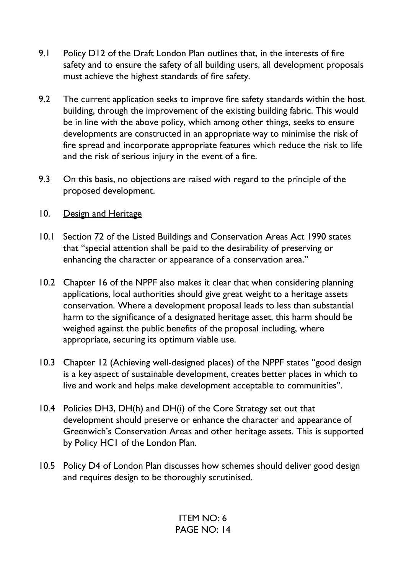- 9.1 Policy D12 of the Draft London Plan outlines that, in the interests of fire safety and to ensure the safety of all building users, all development proposals must achieve the highest standards of fire safety.
- 9.2 The current application seeks to improve fire safety standards within the host building, through the improvement of the existing building fabric. This would be in line with the above policy, which among other things, seeks to ensure developments are constructed in an appropriate way to minimise the risk of fire spread and incorporate appropriate features which reduce the risk to life and the risk of serious injury in the event of a fire.
- 9.3 On this basis, no objections are raised with regard to the principle of the proposed development.
- 10. Design and Heritage
- 10.1 Section 72 of the Listed Buildings and Conservation Areas Act 1990 states that "special attention shall be paid to the desirability of preserving or enhancing the character or appearance of a conservation area."
- 10.2 Chapter 16 of the NPPF also makes it clear that when considering planning applications, local authorities should give great weight to a heritage assets conservation. Where a development proposal leads to less than substantial harm to the significance of a designated heritage asset, this harm should be weighed against the public benefits of the proposal including, where appropriate, securing its optimum viable use.
- 10.3 Chapter 12 (Achieving well-designed places) of the NPPF states "good design is a key aspect of sustainable development, creates better places in which to live and work and helps make development acceptable to communities".
- 10.4 Policies DH3, DH(h) and DH(i) of the Core Strategy set out that development should preserve or enhance the character and appearance of Greenwich's Conservation Areas and other heritage assets. This is supported by Policy HC1 of the London Plan.
- 10.5 Policy D4 of London Plan discusses how schemes should deliver good design and requires design to be thoroughly scrutinised.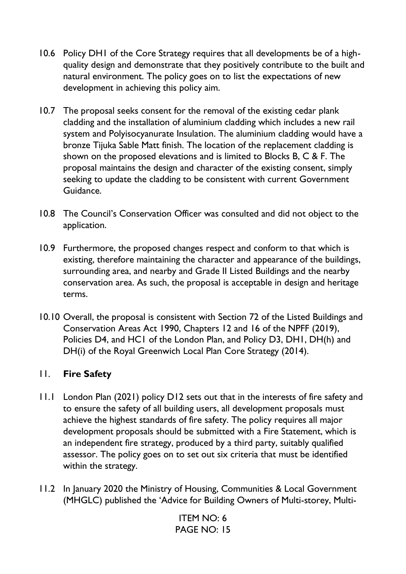- 10.6 Policy DH1 of the Core Strategy requires that all developments be of a highquality design and demonstrate that they positively contribute to the built and natural environment. The policy goes on to list the expectations of new development in achieving this policy aim.
- 10.7 The proposal seeks consent for the removal of the existing cedar plank cladding and the installation of aluminium cladding which includes a new rail system and Polyisocyanurate Insulation. The aluminium cladding would have a bronze Tijuka Sable Matt finish. The location of the replacement cladding is shown on the proposed elevations and is limited to Blocks B, C & F. The proposal maintains the design and character of the existing consent, simply seeking to update the cladding to be consistent with current Government Guidance.
- 10.8 The Council's Conservation Officer was consulted and did not object to the application.
- 10.9 Furthermore, the proposed changes respect and conform to that which is existing, therefore maintaining the character and appearance of the buildings, surrounding area, and nearby and Grade II Listed Buildings and the nearby conservation area. As such, the proposal is acceptable in design and heritage terms.
- 10.10 Overall, the proposal is consistent with Section 72 of the Listed Buildings and Conservation Areas Act 1990, Chapters 12 and 16 of the NPFF (2019), Policies D4, and HC1 of the London Plan, and Policy D3, DH1, DH(h) and DH(i) of the Royal Greenwich Local Plan Core Strategy (2014).

# 11. **Fire Safety**

- 11.1 London Plan (2021) policy D12 sets out that in the interests of fire safety and to ensure the safety of all building users, all development proposals must achieve the highest standards of fire safety. The policy requires all major development proposals should be submitted with a Fire Statement, which is an independent fire strategy, produced by a third party, suitably qualified assessor. The policy goes on to set out six criteria that must be identified within the strategy.
- 11.2 In January 2020 the Ministry of Housing, Communities & Local Government (MHGLC) published the 'Advice for Building Owners of Multi-storey, Multi-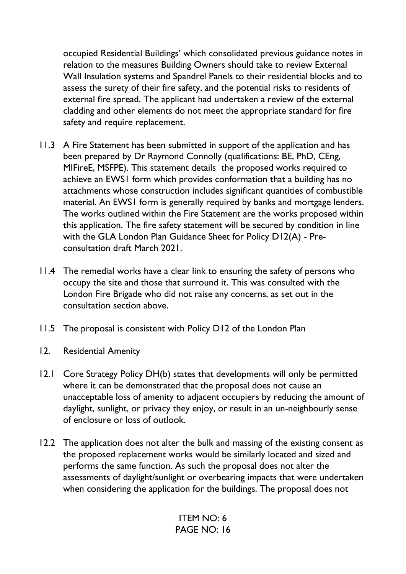occupied Residential Buildings' which consolidated previous guidance notes in relation to the measures Building Owners should take to review External Wall Insulation systems and Spandrel Panels to their residential blocks and to assess the surety of their fire safety, and the potential risks to residents of external fire spread. The applicant had undertaken a review of the external cladding and other elements do not meet the appropriate standard for fire safety and require replacement.

- 11.3 A Fire Statement has been submitted in support of the application and has been prepared by Dr Raymond Connolly (qualifications: BE, PhD, CEng, MIFireE, MSFPE). This statement details the proposed works required to achieve an EWS1 form which provides conformation that a building has no attachments whose construction includes significant quantities of combustible material. An EWS1 form is generally required by banks and mortgage lenders. The works outlined within the Fire Statement are the works proposed within this application. The fire safety statement will be secured by condition in line with the GLA London Plan Guidance Sheet for Policy D12(A) - Preconsultation draft March 2021.
- 11.4 The remedial works have a clear link to ensuring the safety of persons who occupy the site and those that surround it. This was consulted with the London Fire Brigade who did not raise any concerns, as set out in the consultation section above.
- 11.5 The proposal is consistent with Policy D12 of the London Plan
- 12. Residential Amenity
- 12.1 Core Strategy Policy DH(b) states that developments will only be permitted where it can be demonstrated that the proposal does not cause an unacceptable loss of amenity to adjacent occupiers by reducing the amount of daylight, sunlight, or privacy they enjoy, or result in an un-neighbourly sense of enclosure or loss of outlook.
- 12.2 The application does not alter the bulk and massing of the existing consent as the proposed replacement works would be similarly located and sized and performs the same function. As such the proposal does not alter the assessments of daylight/sunlight or overbearing impacts that were undertaken when considering the application for the buildings. The proposal does not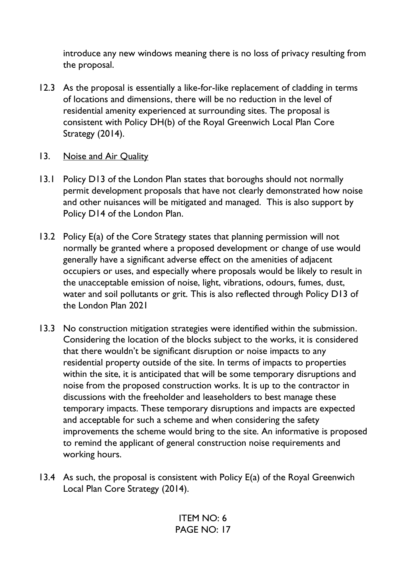introduce any new windows meaning there is no loss of privacy resulting from the proposal.

- 12.3 As the proposal is essentially a like-for-like replacement of cladding in terms of locations and dimensions, there will be no reduction in the level of residential amenity experienced at surrounding sites. The proposal is consistent with Policy DH(b) of the Royal Greenwich Local Plan Core Strategy (2014).
- 13. Noise and Air Quality
- 13.1 Policy D13 of the London Plan states that boroughs should not normally permit development proposals that have not clearly demonstrated how noise and other nuisances will be mitigated and managed. This is also support by Policy D14 of the London Plan.
- 13.2 Policy E(a) of the Core Strategy states that planning permission will not normally be granted where a proposed development or change of use would generally have a significant adverse effect on the amenities of adjacent occupiers or uses, and especially where proposals would be likely to result in the unacceptable emission of noise, light, vibrations, odours, fumes, dust, water and soil pollutants or grit. This is also reflected through Policy D13 of the London Plan 2021
- 13.3 No construction mitigation strategies were identified within the submission. Considering the location of the blocks subject to the works, it is considered that there wouldn't be significant disruption or noise impacts to any residential property outside of the site. In terms of impacts to properties within the site, it is anticipated that will be some temporary disruptions and noise from the proposed construction works. It is up to the contractor in discussions with the freeholder and leaseholders to best manage these temporary impacts. These temporary disruptions and impacts are expected and acceptable for such a scheme and when considering the safety improvements the scheme would bring to the site. An informative is proposed to remind the applicant of general construction noise requirements and working hours.
- 13.4 As such, the proposal is consistent with Policy E(a) of the Royal Greenwich Local Plan Core Strategy (2014).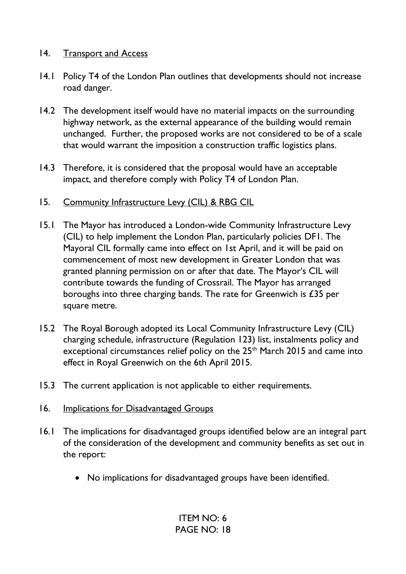### 14. Transport and Access

- 14.1 Policy T4 of the London Plan outlines that developments should not increase road danger.
- 14.2 The development itself would have no material impacts on the surrounding highway network, as the external appearance of the building would remain unchanged. Further, the proposed works are not considered to be of a scale that would warrant the imposition a construction traffic logistics plans.
- 14.3 Therefore, it is considered that the proposal would have an acceptable impact, and therefore comply with Policy T4 of London Plan.
- 15. Community Infrastructure Levy (CIL) & RBG CIL
- 15.1 The Mayor has introduced a London-wide Community Infrastructure Levy (CIL) to help implement the London Plan, particularly policies DF1. The Mayoral CIL formally came into effect on 1st April, and it will be paid on commencement of most new development in Greater London that was granted planning permission on or after that date. The Mayor's CIL will contribute towards the funding of Crossrail. The Mayor has arranged boroughs into three charging bands. The rate for Greenwich is £35 per square metre.
- 15.2 The Royal Borough adopted its Local Community Infrastructure Levy (CIL) charging schedule, infrastructure (Regulation 123) list, instalments policy and exceptional circumstances relief policy on the 25<sup>th</sup> March 2015 and came into effect in Royal Greenwich on the 6th April 2015.
- 15.3 The current application is not applicable to either requirements.
- 16. Implications for Disadvantaged Groups
- 16.1 The implications for disadvantaged groups identified below are an integral part of the consideration of the development and community benefits as set out in the report:
	- No implications for disadvantaged groups have been identified.